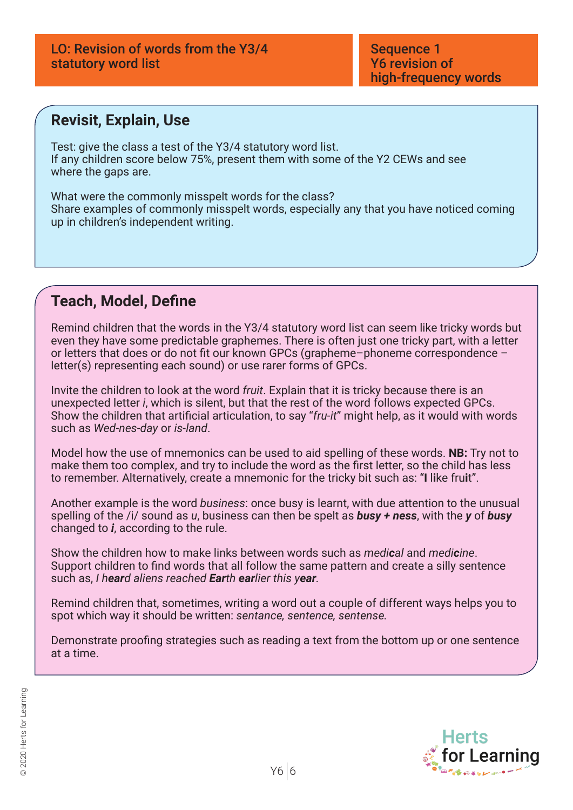#### **Revisit, Explain, Use**

Test: give the class a test of the Y3/4 statutory word list. If any children score below 75%, present them with some of the Y2 CEWs and see where the gaps are.

What were the commonly misspelt words for the class? Share examples of commonly misspelt words, especially any that you have noticed coming up in children's independent writing.

# **Teach, Model, Define**

Remind children that the words in the Y3/4 statutory word list can seem like tricky words but even they have some predictable graphemes. There is often just one tricky part, with a letter or letters that does or do not fit our known GPCs (grapheme–phoneme correspondence – letter(s) representing each sound) or use rarer forms of GPCs.

Invite the children to look at the word *fruit*. Explain that it is tricky because there is an unexpected letter *i*, which is silent, but that the rest of the word follows expected GPCs. Show the children that artificial articulation, to say "*fru-it*" might help, as it would with words such as *Wed-nes-day* or *is-land*.

Model how the use of mnemonics can be used to aid spelling of these words. **NB:** Try not to make them too complex, and try to include the word as the first letter, so the child has less to remember. Alternatively, create a mnemonic for the tricky bit such as: "**I** l**i**ke fru**i**t".

Another example is the word *business*: once busy is learnt, with due attention to the unusual spelling of the /i/ sound as *u*, business can then be spelt as *busy + ness*, with the *y* of *busy* changed to *i*, according to the rule.

Show the children how to make links between words such as *medical* and *medicine*. Support children to find words that all follow the same pattern and create a silly sentence such as, *I heard aliens reached Earth earlier this year.*

Remind children that, sometimes, writing a word out a couple of different ways helps you to spot which way it should be written: *sentance, sentence, sentense.*

Demonstrate proofing strategies such as reading a text from the bottom up or one sentence at a time.

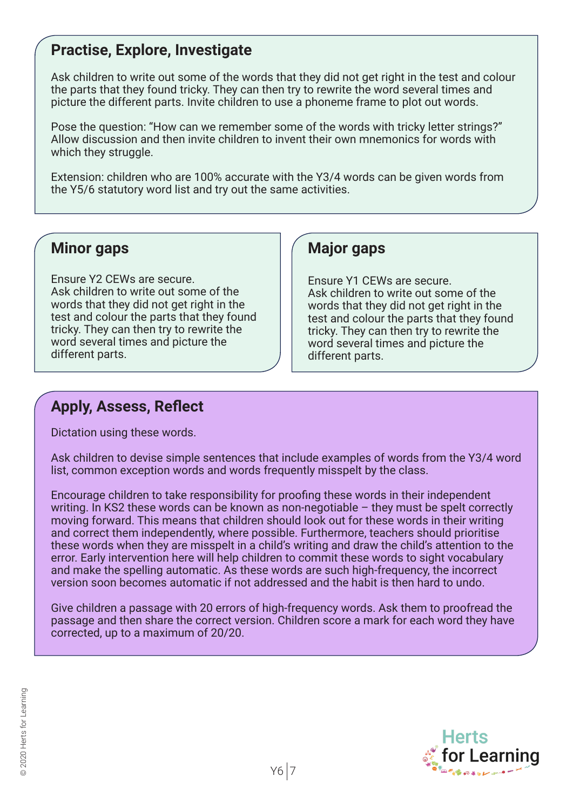## **Practise, Explore, Investigate**

Ask children to write out some of the words that they did not get right in the test and colour the parts that they found tricky. They can then try to rewrite the word several times and picture the different parts. Invite children to use a phoneme frame to plot out words.

Pose the question: "How can we remember some of the words with tricky letter strings?" Allow discussion and then invite children to invent their own mnemonics for words with which they struggle.

Extension: children who are 100% accurate with the Y3/4 words can be given words from the Y5/6 statutory word list and try out the same activities.

#### **Minor gaps**

Ensure Y2 CEWs are secure. Ask children to write out some of the words that they did not get right in the test and colour the parts that they found tricky. They can then try to rewrite the word several times and picture the different parts.

#### **Major gaps**

Ensure Y1 CEWs are secure. Ask children to write out some of the words that they did not get right in the test and colour the parts that they found tricky. They can then try to rewrite the word several times and picture the different parts.

# **Apply, Assess, Reflect**

Dictation using these words.

Ask children to devise simple sentences that include examples of words from the Y3/4 word list, common exception words and words frequently misspelt by the class.

Encourage children to take responsibility for proofing these words in their independent writing. In KS2 these words can be known as non-negotiable – they must be spelt correctly moving forward. This means that children should look out for these words in their writing and correct them independently, where possible. Furthermore, teachers should prioritise these words when they are misspelt in a child's writing and draw the child's attention to the error. Early intervention here will help children to commit these words to sight vocabulary and make the spelling automatic. As these words are such high-frequency, the incorrect version soon becomes automatic if not addressed and the habit is then hard to undo.

Give children a passage with 20 errors of high-frequency words. Ask them to proofread the passage and then share the correct version. Children score a mark for each word they have corrected, up to a maximum of 20/20.

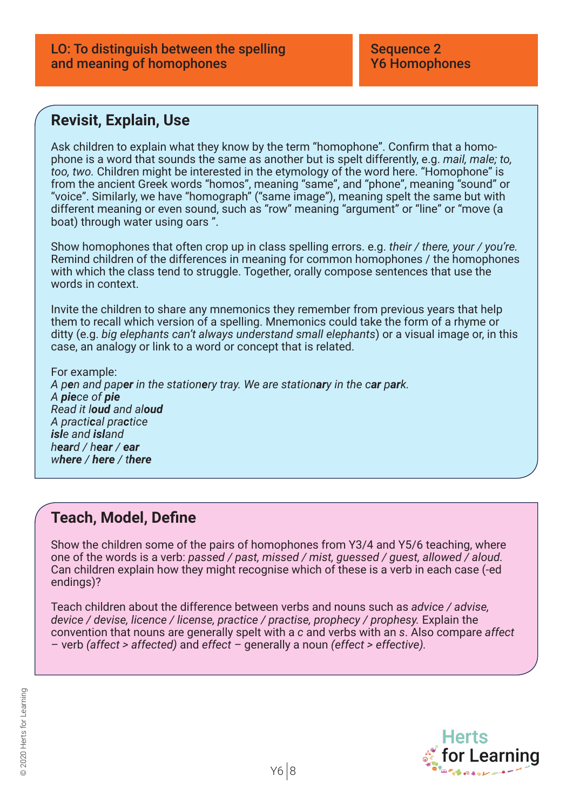#### **Revisit, Explain, Use**

Ask children to explain what they know by the term "homophone". Confirm that a homophone is a word that sounds the same as another but is spelt differently, e.g. *mail, male; to, too, two.* Children might be interested in the etymology of the word here. "Homophone" is from the ancient Greek words "homos", meaning "same", and "phone", meaning "sound" or "voice". Similarly, we have "homograph" ("same image"), meaning spelt the same but with different meaning or even sound, such as "row" meaning "argument" or "line" or "move (a boat) through water using oars ".

Show homophones that often crop up in class spelling errors. e.g. *their / there, your / you're.*  Remind children of the differences in meaning for common homophones / the homophones with which the class tend to struggle. Together, orally compose sentences that use the words in context.

Invite the children to share any mnemonics they remember from previous years that help them to recall which version of a spelling. Mnemonics could take the form of a rhyme or ditty (e.g. *big elephants can't always understand small elephants*) or a visual image or, in this case, an analogy or link to a word or concept that is related.

For example: *A pen and paper in the stationery tray. We are stationary in the car park. A piece of pie Read it loud and aloud A practical practice isle and island heard / hear / ear where / here / there*

### **Teach, Model, Define**

Show the children some of the pairs of homophones from Y3/4 and Y5/6 teaching, where one of the words is a verb: *passed / past, missed / mist, guessed / guest, allowed / aloud.*  Can children explain how they might recognise which of these is a verb in each case (-ed endings)?

Teach children about the difference between verbs and nouns such as *advice / advise, device / devise, licence / license, practice / practise, prophecy / prophesy.* Explain the convention that nouns are generally spelt with a *c* and verbs with an *s*. Also compare *affect*  – verb *(affect > affected)* and *effect –* generally a noun *(effect > effective).*

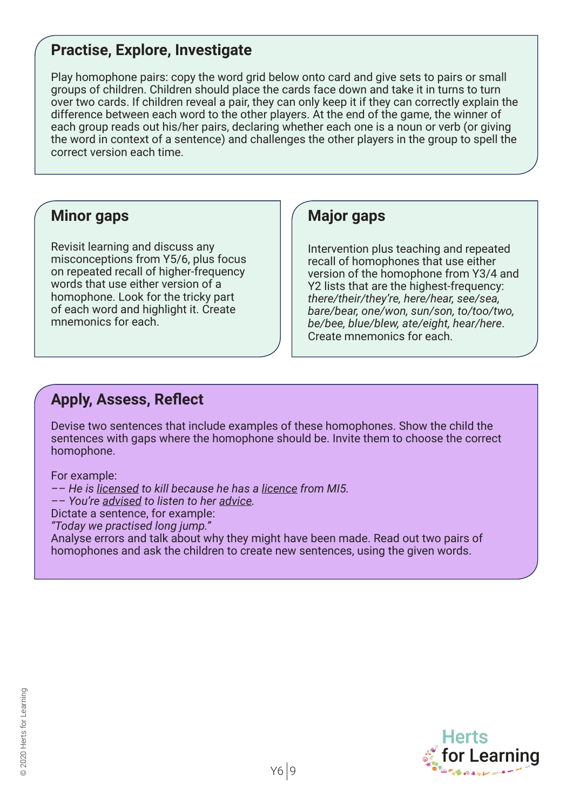## **Practise, Explore, Investigate**

Play homophone pairs: copy the word grid below onto card and give sets to pairs or small groups of children. Children should place the cards face down and take it in turns to turn over two cards. If children reveal a pair, they can only keep it if they can correctly explain the difference between each word to the other players. At the end of the game, the winner of each group reads out his/her pairs, declaring whether each one is a noun or verb (or giving the word in context of a sentence) and challenges the other players in the group to spell the correct version each time.

#### **Minor gaps**

Revisit learning and discuss any misconceptions from Y5/6, plus focus on repeated recall of higher-frequency words that use either version of a homophone. Look for the tricky part of each word and highlight it. Create mnemonics for each.

#### **Major gaps**

Intervention plus teaching and repeated recall of homophones that use either version of the homophone from Y3/4 and Y2 lists that are the highest-frequency: *there/their/they're, here/hear, see/sea, bare/bear, one/won, sun/son, to/too/two, be/bee, blue/blew, ate/eight, hear/here*. Create mnemonics for each.

#### **Apply, Assess, Reflect**

Devise two sentences that include examples of these homophones. Show the child the sentences with gaps where the homophone should be. Invite them to choose the correct homophone.

For example:

*–– He is licensed to kill because he has a licence from MI5.*

*–– You're advised to listen to her advice.*

Dictate a sentence, for example:

*"Today we practised long jump."*

Analyse errors and talk about why they might have been made. Read out two pairs of homophones and ask the children to create new sentences, using the given words.